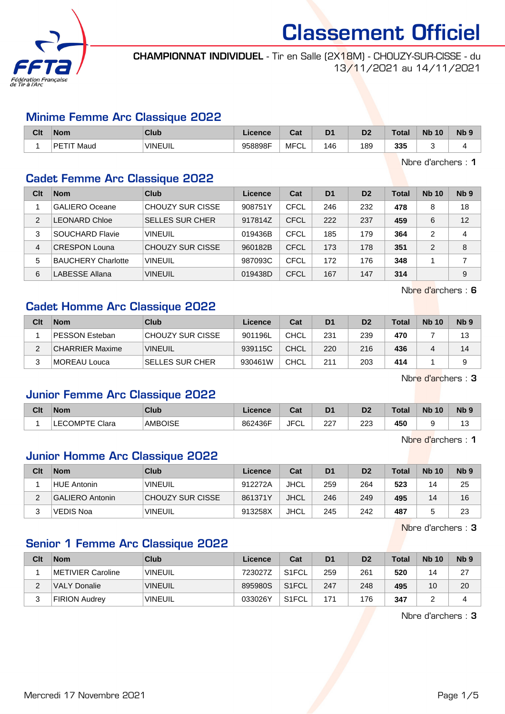

CHAMPIONNAT INDIVIDUEL - Tir en Salle (2X18M) - CHOUZY-SUR-CISSE - du 13/11/2021 au 14/11/2021

#### Minime Femme Arc Classique 2022

| Clt | <b>Nom</b>                 | <b>Club</b>    | Licence | <b>Tak</b><br>sai | D <sub>1</sub> | m<br>ש | Total | <b>Nb</b><br>10 | N <sub>b</sub> <sub>9</sub> |
|-----|----------------------------|----------------|---------|-------------------|----------------|--------|-------|-----------------|-----------------------------|
|     | РF<br>Maud<br>$\mathbf{H}$ | <b>VINEUIL</b> | 958898F | MFCL              | 46             | 189    | 335   |                 |                             |

Nbre d'archers : 1

#### Cadet Femme Arc Classique 2022

| Clt            | <b>Nom</b>                | Club                   | Licence | Cat         | D <sub>1</sub> | D <sub>2</sub> | Total | <b>Nb 10</b> | Nb <sub>9</sub> |
|----------------|---------------------------|------------------------|---------|-------------|----------------|----------------|-------|--------------|-----------------|
|                | <b>GALIERO</b> Oceane     | CHOUZY SUR CISSE       | 908751Y | CFCL        | 246            | 232            | 478   | 8            | 18              |
| $\mathfrak{p}$ | LEONARD Chloe             | <b>SELLES SUR CHER</b> | 917814Z | <b>CFCL</b> | 222            | 237            | 459   | 6            | 12              |
| 3              | SOUCHARD Flavie           | <b>VINEUIL</b>         | 019436B | CFCL        | 185            | 179            | 364   | 2            | 4               |
| 4              | <b>CRESPON Louna</b>      | CHOUZY SUR CISSE       | 960182B | <b>CFCL</b> | 173            | 178            | 351   | 2            | 8               |
| 5              | <b>BAUCHERY Charlotte</b> | <b>VINEUIL</b>         | 987093C | CFCL        | 172            | 176            | 348   |              |                 |
| 6              | LABESSE Allana            | <b>VINEUIL</b>         | 019438D | CFCL        | 167            | 147            | 314   |              | 9               |

Nbre d'archers : 6

# Cadet Homme Arc Classique 2022

| Clt | <b>Nom</b>             | Club                   | Licence | Cat         | D <sub>1</sub> | D <sub>2</sub> | <b>Total</b> | <b>Nb 10</b> | Nb <sub>9</sub> |
|-----|------------------------|------------------------|---------|-------------|----------------|----------------|--------------|--------------|-----------------|
|     | <b>PESSON Esteban</b>  | CHOUZY SUR CISSE       | 901196L | CHCL        | 231            | 239            | 470          |              | 13              |
| C   | <b>CHARRIER Maxime</b> | <b>VINEUIL</b>         | 939115C | <b>CHCL</b> | 220            | 216            | 436          |              | 14              |
|     | MOREAU Louca           | <b>SELLES SUR CHER</b> | 930461W | <b>CHCL</b> | 211            | 203            | 414          |              |                 |

Nbre d'archers : 3

# Junior Femme Arc Classique 2022

| Clt | <b>Nom</b>            | Club           | Licence | ◠؞+<br>⊍d   | D1  | D <sub>2</sub> | <b>Total</b> | <b>N<sub>b</sub></b><br>10 | N <sub>b</sub> <sub>9</sub> |
|-----|-----------------------|----------------|---------|-------------|-----|----------------|--------------|----------------------------|-----------------------------|
|     | <b>LECOMPTE Clara</b> | <b>AMBOISE</b> | 862436F | JFC'<br>ั∪∟ | 227 | 223            | 450          |                            | ں،                          |

Nbre d'archers : 1

# Junior Homme Arc Classique 2022

| Clt | <b>Nom</b>             | Club                    | Licence | Cat  | D <sub>1</sub> | D <sub>2</sub> | <b>Total</b> | <b>Nb 10</b> | Nb <sub>9</sub> |
|-----|------------------------|-------------------------|---------|------|----------------|----------------|--------------|--------------|-----------------|
|     | <b>HUE Antonin</b>     | <b>VINEUIL</b>          | 912272A | JHCL | 259            | 264            | 523          | 14           | 25              |
|     | <b>GALIERO Antonin</b> | <b>CHOUZY SUR CISSE</b> | 861371Y | JHCL | 246            | 249            | 495          | 14           | 16              |
|     | <b>VEDIS Noa</b>       | <b>VINEUIL</b>          | 913258X | JHCL | 245            | 242            | 487          |              | 23              |

Nbre d'archers : 3

# Senior 1 Femme Arc Classique 2022

| Clt | <b>Nom</b>           | Club            | Licence | Cat                | D <sub>1</sub> | D <sub>2</sub> | <b>Total</b> | <b>Nb 10</b> | N <sub>b</sub> <sub>9</sub> |
|-----|----------------------|-----------------|---------|--------------------|----------------|----------------|--------------|--------------|-----------------------------|
|     | METIVIER Caroline    | <b>'VINEUIL</b> | 723027Z | S <sub>1</sub> FCL | 259            | 261            | 520          | 14           | 27                          |
| ∠   | VALY Donalie         | <b>VINEUIL</b>  | 895980S | S <sub>1</sub> FCL | 247            | 248            | 495          | 10           | 20                          |
| 3   | <b>FIRION Audrey</b> | <b>'VINEUIL</b> | 033026Y | S <sub>1</sub> FCL | 171            | 176            | 347          |              |                             |

Nbre d'archers : 3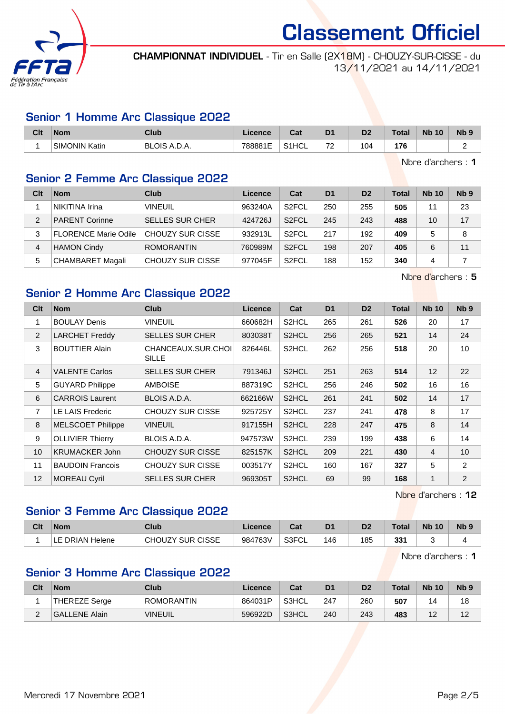

CHAMPIONNAT INDIVIDUEL - Tir en Salle (2X18M) - CHOUZY-SUR-CISSE - du 13/11/2021 au 14/11/2021

### Senior 1 Homme Arc Classique 2022

| Clt | Nom           | <b>Club</b>   | Licence | ∩~'<br>⊍aι         | D <sub>1</sub>                | D?<br>יש | <b>Total</b> | <b>Nb</b><br>10 | N <sub>b</sub> <sub>9</sub> |
|-----|---------------|---------------|---------|--------------------|-------------------------------|----------|--------------|-----------------|-----------------------------|
|     | SIMONIN Katin | 'BLOIS A.D.A. | 788881E | S <sub>1</sub> HCL | $\overline{\phantom{a}}$<br>∼ | 104      | 17C          |                 |                             |

Nbre d'archers : 1

# Senior 2 Femme Arc Classique 2022

| Clt           | <b>Nom</b>                  | Club                    | Licence | Cat                | D <sub>1</sub> | D <sub>2</sub> | <b>Total</b> | <b>Nb 10</b> | N <sub>b</sub> <sub>9</sub> |
|---------------|-----------------------------|-------------------------|---------|--------------------|----------------|----------------|--------------|--------------|-----------------------------|
|               | NIKITINA Irina              | <b>VINEUIL</b>          | 963240A | S <sub>2</sub> FCL | 250            | 255            | 505          | 11           | 23                          |
| $\mathcal{P}$ | <b>PARENT Corinne</b>       | <b>SELLES SUR CHER</b>  | 424726J | S <sub>2</sub> FCL | 245            | 243            | 488          | 10           | 17                          |
| 3             | <b>FLORENCE Marie Odile</b> | <b>CHOUZY SUR CISSE</b> | 932913L | S <sub>2</sub> FCL | 217            | 192            | 409          | 5            | 8                           |
| 4             | <b>HAMON Cindy</b>          | <b>ROMORANTIN</b>       | 760989M | S <sub>2</sub> FCL | 198            | 207            | 405          | 6            | 11                          |
| 5             | CHAMBARET Magali            | <b>CHOUZY SUR CISSE</b> | 977045F | S <sub>2</sub> FCL | 188            | 152            | 340          | 4            |                             |

Nbre d'archers : 5

# Senior 2 Homme Arc Classique 2022

| Clt            | <b>Nom</b>               | Club                        | <b>Licence</b> | Cat                | D <sub>1</sub> | D <sub>2</sub> | <b>Total</b> | <b>Nb 10</b> | Nb <sub>9</sub> |
|----------------|--------------------------|-----------------------------|----------------|--------------------|----------------|----------------|--------------|--------------|-----------------|
| 1              | <b>BOULAY Denis</b>      | <b>VINEUIL</b>              | 660682H        | S2HCL              | 265            | 261            | 526          | 20           | 17              |
| $\overline{2}$ | <b>LARCHET Freddy</b>    | <b>SELLES SUR CHER</b>      | 803038T        | S2HCL              | 256            | 265            | 521          | 14           | 24              |
| 3              | <b>BOUTTIER Alain</b>    | CHANCEAUX.SUR.CHOL<br>SILLE | 826446L        | S2HCL              | 262            | 256            | 518          | 20           | 10 <sup>°</sup> |
| $\overline{4}$ | <b>VALENTE Carlos</b>    | <b>SELLES SUR CHER</b>      | 791346J        | S <sub>2</sub> HCL | 251            | 263            | 514          | 12           | 22              |
| 5              | <b>GUYARD Philippe</b>   | <b>AMBOISE</b>              | 887319C        | S2HCL              | 256            | 246            | 502          | 16           | 16              |
| 6              | <b>CARROIS Laurent</b>   | BLOIS A.D.A.                | 662166W        | S2HCL              | 261            | 241            | 502          | 14           | 17              |
| $\overline{7}$ | LE LAIS Frederic         | <b>CHOUZY SUR CISSE</b>     | 925725Y        | S2HCL              | 237            | 241            | 478          | 8            | 17              |
| 8              | <b>MELSCOET Philippe</b> | <b>VINEUIL</b>              | 917155H        | S2HCL              | 228            | 247            | 475          | 8            | 14              |
| 9              | <b>OLLIVIER Thierry</b>  | BLOIS A.D.A.                | 947573W        | S2HCL              | 239            | 199            | 438          | 6            | 14              |
| 10             | <b>KRUMACKER John</b>    | <b>CHOUZY SUR CISSE</b>     | 825157K        | S2HCL              | 209            | 221            | 430          | 4            | 10              |
| 11             | <b>BAUDOIN Francois</b>  | <b>CHOUZY SUR CISSE</b>     | 003517Y        | S2HCL              | 160            | 167            | 327          | 5            | $\overline{2}$  |
| 12             | <b>MOREAU Cyril</b>      | <b>SELLES SUR CHER</b>      | 969305T        | S2HCL              | 69             | 99             | 168          | 1            | $\overline{2}$  |

Nbre d'archers : 12

# Senior 3 Femme Arc Classique 2022

| Clt | <b>Nom</b>                      | Club                    | Licence | r.,<br>val | D <sub>1</sub> | D <sub>2</sub> | Total | <b>N<sub>b</sub></b><br>10 | N <sub>b</sub> 9 |
|-----|---------------------------------|-------------------------|---------|------------|----------------|----------------|-------|----------------------------|------------------|
|     | <sup>-</sup> DRIAN Helene<br>டட | <b>CHOUZY SUR CISSE</b> | 984763V | S3FCL      | 146            | 185            | 331   |                            |                  |

Nbre d'archers : 1

# Senior 3 Homme Arc Classique 2022

| Clt | <b>Nom</b>           | Club              | Licence | Cat   | D <sub>1</sub> | D <sub>2</sub> | <b>Total</b> | <b>Nb 10</b>     | N <sub>b</sub> <sub>9</sub> |
|-----|----------------------|-------------------|---------|-------|----------------|----------------|--------------|------------------|-----------------------------|
|     | <b>THEREZE Serge</b> | <b>ROMORANTIN</b> | 864031P | S3HCL | 247            | 260            | 507          | 4                | 18                          |
| -   | <b>GALLENE Alain</b> | <b>VINEUIL</b>    | 596922D | S3HCL | 240            | 243            | 483          | $\Lambda$<br>. . | $\sqrt{2}$                  |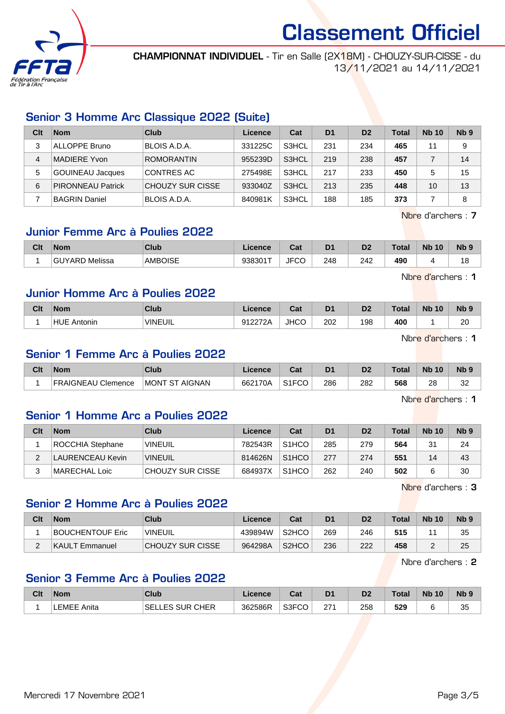

CHAMPIONNAT INDIVIDUEL - Tir en Salle (2X18M) - CHOUZY-SUR-CISSE - du 13/11/2021 au 14/11/2021

# Senior 3 Homme Arc Classique 2022 (Suite)

| Clt            | <b>Nom</b>               | Club              | Licence | Cat   | D <sub>1</sub> | D <sub>2</sub> | <b>Total</b> | <b>Nb 10</b> | N <sub>b</sub> <sub>9</sub> |
|----------------|--------------------------|-------------------|---------|-------|----------------|----------------|--------------|--------------|-----------------------------|
| 3              | ALLOPPE Bruno            | BLOIS A.D.A.      | 331225C | S3HCL | 231            | 234            | 465          | 11           | 9                           |
| $\overline{4}$ | MADIERE Yvon             | <b>ROMORANTIN</b> | 955239D | S3HCL | 219            | 238            | 457          |              | 14                          |
| 5              | <b>GOUINEAU Jacques</b>  | <b>CONTRES AC</b> | 275498E | S3HCL | 217            | 233            | 450          | 5            | 15                          |
| 6              | <b>PIRONNEAU Patrick</b> | CHOUZY SUR CISSE  | 933040Z | S3HCL | 213            | 235            | 448          | 10           | 13                          |
|                | <b>BAGRIN Daniel</b>     | BLOIS A.D.A.      | 840981K | S3HCL | 188            | 185            | 373          |              | 8                           |

Nbre d'archers : 7

# Junior Femme Arc à Poulies 2022

| Clt | <b>Nom</b>      | Club           | Licence | Col<br>val          | D <sub>1</sub> | D <sub>2</sub> | <b>Total</b> | <b>N<sub>b</sub></b><br>10 | <b>N<sub>b</sub></b> |
|-----|-----------------|----------------|---------|---------------------|----------------|----------------|--------------|----------------------------|----------------------|
|     | 'GUYARD Melissa | <b>AMBOISE</b> | 938301T | <b>JFCC</b><br>ັບບ⊤ | 248            | 242            | 490          |                            | ١O                   |

Nbre d'archers : 1

# Junior Homme Arc à Poulies 2022

| Clt | <b>Nom</b>            | Club     | icence       | ่ ี่ ี่ ่า ่<br>G⊲. | D <sub>1</sub> | D2  | <b>Total</b> | <b>N<sub>b</sub></b><br>10 | <b>Nb</b> |
|-----|-----------------------|----------|--------------|---------------------|----------------|-----|--------------|----------------------------|-----------|
|     | <b>HUE</b><br>Antonin | `VINEUIL | 912272A<br>. | <b>JHCC</b>         | 202            | 198 | 400          |                            | 20        |

Nbre d'archers : 1

# Senior 1 Femme Arc à Poulies 2022

| Clt | Nom                | Club                             | <b>Licence</b> | <b>Cost</b><br><b>Gal</b> | D <sub>1</sub> | D <sub>2</sub> | Total | <b>N<sub>b</sub></b><br>10 | <b>N<sub>b</sub></b> |
|-----|--------------------|----------------------------------|----------------|---------------------------|----------------|----------------|-------|----------------------------|----------------------|
|     | FRAIGNEAU Clemence | <b>AIGNAN</b><br><b>IMONT ST</b> | 662170A        | S <sub>1</sub> FCO        | 286            | 282<br>$-$     | 568   | ററ<br>۷C<br>__             | ົ<br>ےں              |

Nbre d'archers : 1

#### Senior 1 Homme Arc a Poulies 2022

| Clt | <b>Nom</b>       | Club             | Licence | Cat                | D <sub>1</sub> | D <sub>2</sub> | <b>Total</b> | <b>Nb 10</b> | N <sub>b</sub> <sub>9</sub> |
|-----|------------------|------------------|---------|--------------------|----------------|----------------|--------------|--------------|-----------------------------|
|     | ROCCHIA Stephane | <b>VINEUIL</b>   | 782543R | S <sub>1</sub> HCO | 285            | 279            | 564          | 31           | 24                          |
|     | LAURENCEAU Kevin | <b>VINEUIL</b>   | 814626N | S <sub>1</sub> HCO | 277            | 274            | 551          | 14           | 43                          |
|     | MARECHAL Loic    | CHOUZY SUR CISSE | 684937X | S <sub>1</sub> HCO | 262            | 240            | 502          |              | 30                          |

Nbre d'archers : 3

#### Senior 2 Homme Arc à Poulies 2022

| Clt | Nom              | Club             | Licence | Cat                | D <sub>1</sub> | D2  | Total | <b>Nb 10</b> | N <sub>b</sub> <sub>9</sub> |
|-----|------------------|------------------|---------|--------------------|----------------|-----|-------|--------------|-----------------------------|
|     | BOUCHENTOUF Eric | 'VINEUIL         | 439894W | S <sub>2</sub> HCO | 269            | 246 | 515   |              | 35                          |
|     | KAULT Emmanuel   | CHOUZY SUR CISSE | 964298A | S <sub>2</sub> HCO | 236            | 222 | 458   |              | 25                          |

Nbre d'archers : 2

#### Senior 3 Femme Arc à Poulies 2022

| Clt | <b>Nom</b>      | Club                   | <b>Licence</b> | r.,<br>val    | D <sub>1</sub> | D2  | Total      | <b>N<sub>b</sub></b><br>10 | N <sub>b</sub> <sub>9</sub> |
|-----|-----------------|------------------------|----------------|---------------|----------------|-----|------------|----------------------------|-----------------------------|
|     | LEMEE,<br>Anita | <b>SELLES SUR CHER</b> | 362586R        | S3FCO<br>ັບບ⊤ | 271<br>2 I     | 258 | 529<br>. . |                            | 35                          |

Mercredi 17 Novembre 2021 **Page 3/5**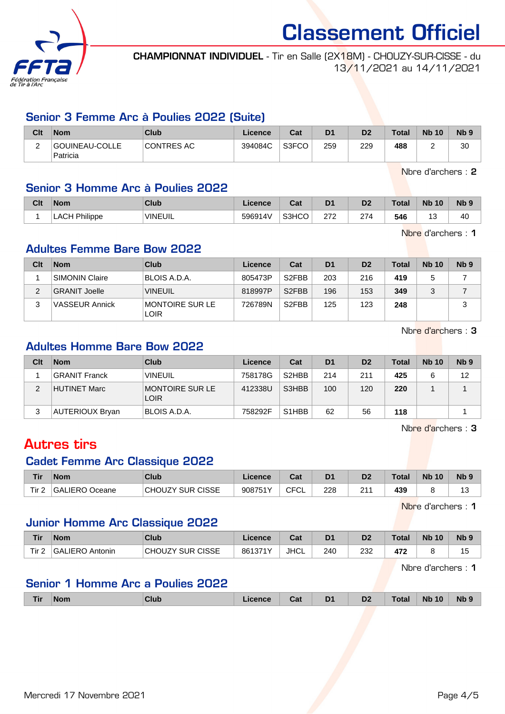

CHAMPIONNAT INDIVIDUEL - Tir en Salle (2X18M) - CHOUZY-SUR-CISSE - du 13/11/2021 au 14/11/2021

### Senior 3 Femme Arc à Poulies 2022 (Suite)

| Clt      | <b>Nom</b>                 | Club              | Licence | Cat   | D <sub>1</sub> | D <sub>2</sub> | Total | <b>Nb 10</b> | N <sub>b</sub> <sub>9</sub> |
|----------|----------------------------|-------------------|---------|-------|----------------|----------------|-------|--------------|-----------------------------|
| <u>.</u> | GOUINEAU-COLLE<br>Patricia | <b>CONTRES AC</b> | 394084C | S3FCO | 259            | 229            | 488   |              | 30                          |

Nbre d'archers : 2

# Senior 3 Homme Arc à Poulies 2022

| Clt | <b>Nom</b> | Club           | icence  | ⊶ ∼<br>ual | D <sub>1</sub> | D <sub>0</sub> | Total | <b>Nb 10</b> | Nb <sub>9</sub> |
|-----|------------|----------------|---------|------------|----------------|----------------|-------|--------------|-----------------|
|     | Philippe   | <b>VINEUIL</b> | 596914V | S3HCO      | מדמ<br>ے اے    | 274            | 546   | ن⊦           | 40              |

Nbre d'archers : 1

# Adultes Femme Bare Bow 2022

| Clt | <b>Nom</b>            | Club                    | Licence | Cat                | D <sub>1</sub> | D <sub>2</sub> | Total | <b>Nb 10</b> | Nb <sub>9</sub> |
|-----|-----------------------|-------------------------|---------|--------------------|----------------|----------------|-------|--------------|-----------------|
|     | <b>SIMONIN Claire</b> | BLOIS A.D.A.            | 805473P | S <sub>2</sub> FBB | 203            | 216            | 419   |              |                 |
|     | <b>GRANIT Joelle</b>  | <b>VINEUIL</b>          | 818997P | S <sub>2</sub> FBB | 196            | 153            | 349   |              |                 |
| ຈ   | <b>VASSEUR Annick</b> | MONTOIRE SUR LE<br>LOIR | 726789N | S <sub>2</sub> FBB | 125            | 123            | 248   |              | ≏<br>د.         |

Nbre d'archers : 3

# Adultes Homme Bare Bow 2022

| Clt | <b>Nom</b>      | Club                           | Licence | Cat                            | D <sub>1</sub> | D <sub>2</sub> | Total | <b>Nb 10</b> | Nb <sub>9</sub> |
|-----|-----------------|--------------------------------|---------|--------------------------------|----------------|----------------|-------|--------------|-----------------|
|     | GRANIT Franck   | <b>VINEUIL</b>                 | 758178G | S <sub>2</sub> H <sub>BB</sub> | 214            | 211            | 425   |              | 12              |
| າ   | HUTINET Marc    | MONTOIRE SUR LE<br><b>LOIR</b> | 412338U | S3HBB                          | 100            | 120            | 220   |              |                 |
| 3   | AUTERIOUX Bryan | BLOIS A.D.A.                   | 758292F | S <sub>1</sub> H <sub>BB</sub> | 62             | 56             | 118   |              |                 |

Nbre d'archers : 3

# Autres tirs

#### Cadet Femme Arc Classique 2022

| Tir   | <b>Nom</b>     | Club                    | Licence | $\sim$<br>⊍a               | D <sub>1</sub> | D <sub>2</sub> | Total | <b>N<sub>b</sub></b><br>10 | N <sub>b</sub> <sub>9</sub> |
|-------|----------------|-------------------------|---------|----------------------------|----------------|----------------|-------|----------------------------|-----------------------------|
| Tir 2 | GALIERO Oceane | <b>CHOUZY SUR CISSE</b> | 908751Y | $\sim$ $\sim$<br>ັ⊢ບ∟<br>◡ | 228            | 244<br>2 I     | 439   |                            | $\overline{a}$<br>ن ا       |

Nbre d'archers : 1

#### Junior Homme Arc Classique 2022

| Tir       | <b>Nom</b>          | Club                                               | icence  | r.,<br>uai  | D <sub>1</sub> | D <sub>2</sub> | <b>Total</b>     | <b>Nb</b><br>10 | <b>N<sub>b</sub></b> |
|-----------|---------------------|----------------------------------------------------|---------|-------------|----------------|----------------|------------------|-----------------|----------------------|
| Tir.<br>- | 'GALIERO<br>Antonin | <b>SUR CISSE</b><br>$\sim$ $\sim$<br><b>CHOUZY</b> | 861371Y | <b>JHCL</b> | 240            | 232            | ,,,<br>4<br>71 L |                 | ت ا                  |

Nbre d'archers : 1

# Senior 1 Homme Arc a Poulies 2022

| <b>Tir</b> | <b>Nom</b><br>------ | Club | icence | ורי<br>ual | $\mathbf{D}$<br>◡<br>- - | D <sub>2</sub> | Total | 10<br><b>Nb</b> | Nb <sub>9</sub> |
|------------|----------------------|------|--------|------------|--------------------------|----------------|-------|-----------------|-----------------|
|            |                      |      |        |            |                          |                |       |                 |                 |